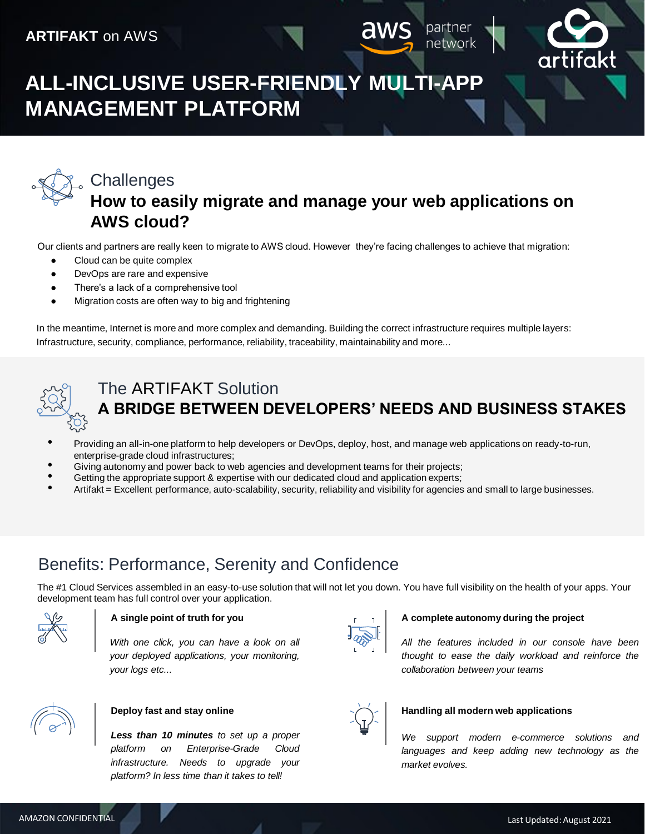

network

# **ALL-INCLUSIVE USER-FRIENDLY MULTI-APP MANAGEMENT PLATFORM**



### **Challenges How to easily migrate and manage your web applications on AWS cloud?**

Our clients and partners are really keen to migrate to AWS cloud. However they're facing challenges to achieve that migration:

- Cloud can be quite complex
- DevOps are rare and expensive
- There's a lack of a comprehensive tool
- Migration costs are often way to big and frightening

In the meantime, Internet is more and more complex and demanding. Building the correct infrastructure requires multiple layers: Infrastructure, security, compliance, performance, reliability, traceability, maintainability and more...



## The ARTIFAKT Solution **A BRIDGE BETWEEN DEVELOPERS' NEEDS AND BUSINESS STAKES**

- Providing an all-in-one platform to help developers or DevOps, deploy, host, and manage web applications on ready-to-run, enterprise-grade cloud infrastructures;
- Giving autonomy and power back to web agencies and development teams for their projects;
- Getting the appropriate support & expertise with our dedicated cloud and application experts;
- Artifakt = Excellent performance, auto-scalability, security, reliability and visibility for agencies and small to large businesses.

## Benefits: Performance, Serenity and Confidence

The #1 Cloud Services assembled in an easy-to-use solution that will not let you down. You have full visibility on the health of your apps. Your development team has full control over your application.



#### **A single point of truth for you**

*With one click, you can have a look on all your deployed applications, your monitoring, your logs etc...*



#### **Deploy fast and stay online**

*Less than 10 minutes to set up a proper platform on Enterprise-Grade Cloud infrastructure. Needs to upgrade your platform? In less time than it takes to tell!*



#### **A complete autonomy during the project**

*All the features included in our console have been thought to ease the daily workload and reinforce the collaboration between your teams*



#### **Handling all modern web applications**

*We support modern e-commerce solutions and languages and keep adding new technology as the market evolves.*